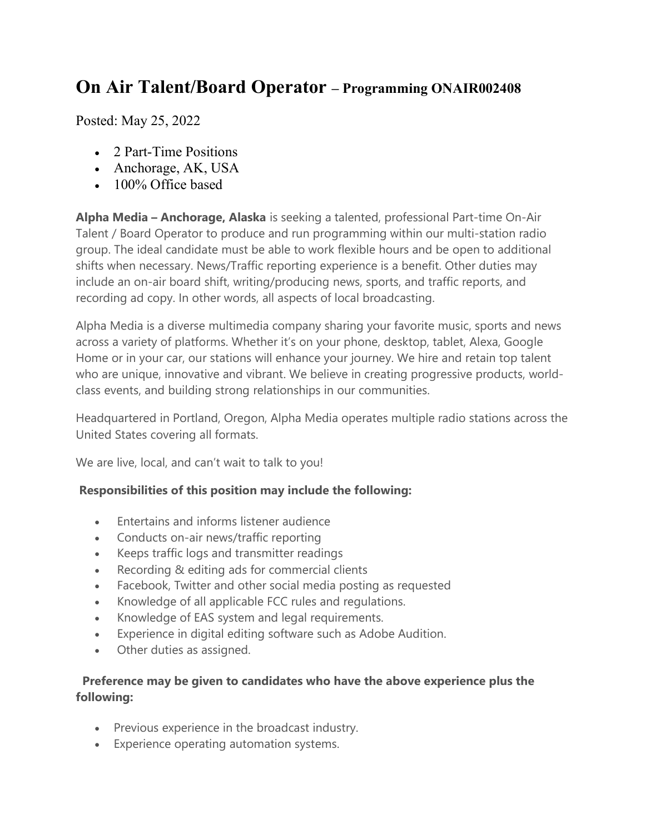## On Air Talent/Board Operator – Programming ONAIR002408

Posted: May 25, 2022

- 2 Part-Time Positions
- Anchorage, AK, USA
- 100% Office based

Alpha Media – Anchorage, Alaska is seeking a talented, professional Part-time On-Air Talent / Board Operator to produce and run programming within our multi-station radio group. The ideal candidate must be able to work flexible hours and be open to additional shifts when necessary. News/Traffic reporting experience is a benefit. Other duties may include an on-air board shift, writing/producing news, sports, and traffic reports, and recording ad copy. In other words, all aspects of local broadcasting.

Alpha Media is a diverse multimedia company sharing your favorite music, sports and news across a variety of platforms. Whether it's on your phone, desktop, tablet, Alexa, Google Home or in your car, our stations will enhance your journey. We hire and retain top talent who are unique, innovative and vibrant. We believe in creating progressive products, worldclass events, and building strong relationships in our communities.

Headquartered in Portland, Oregon, Alpha Media operates multiple radio stations across the United States covering all formats.

We are live, local, and can't wait to talk to you!

## Responsibilities of this position may include the following:

- Entertains and informs listener audience
- Conducts on-air news/traffic reporting
- Keeps traffic logs and transmitter readings
- Recording & editing ads for commercial clients
- Facebook, Twitter and other social media posting as requested
- Knowledge of all applicable FCC rules and regulations.
- Knowledge of EAS system and legal requirements.
- Experience in digital editing software such as Adobe Audition.
- Other duties as assigned.

## Preference may be given to candidates who have the above experience plus the following:

- Previous experience in the broadcast industry.
- Experience operating automation systems.